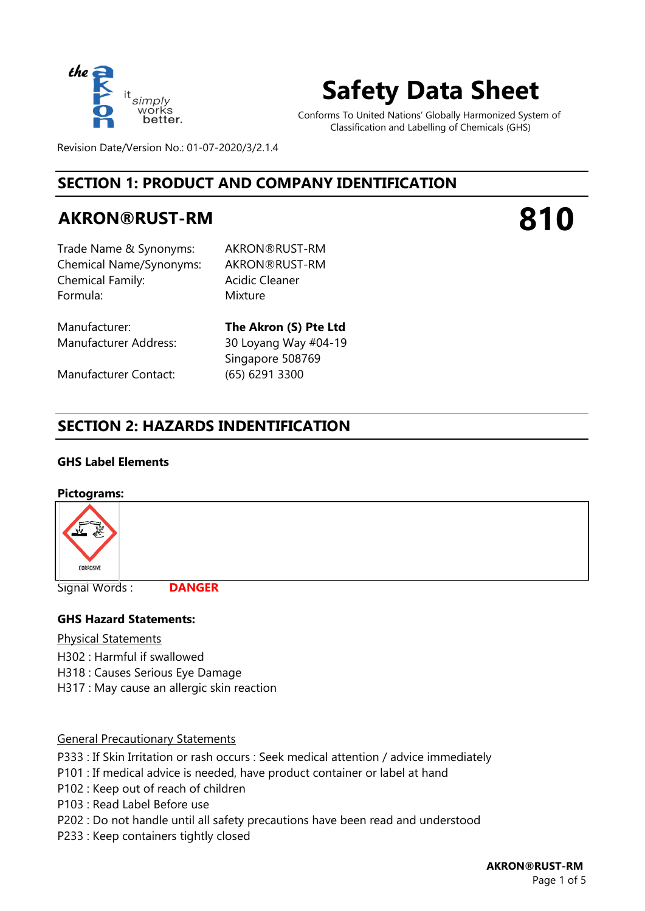

## **Safety Data Sheet**

Conforms To United Nations' Globally Harmonized System of Classification and Labelling of Chemicals (GHS)

Revision Date/Version No.: 01-07-2020/3/2.1.4

## **SECTION 1: PRODUCT AND COMPANY IDENTIFICATION**

## **AKRON®RUST-RM**

# **810**

Trade Name & Synonyms: AKRON®RUST-RM Chemical Name/Synonyms: AKRON®RUST-RM Chemical Family: Formula: Mixture

Acidic Cleaner

Manufacturer Contact: (65) 6291 3300

Manufacturer: **The Akron (S) Pte Ltd** Manufacturer Address: 30 Loyang Way #04-19 Singapore 508769

## **SECTION 2: HAZARDS INDENTIFICATION**

#### **GHS Label Elements**

#### **Pictograms:**



Signal Words :

**DANGER**

#### **GHS Hazard Statements:**

Physical Statements

- H302 : Harmful if swallowed
- H318 : Causes Serious Eye Damage
- H317 : May cause an allergic skin reaction

#### General Precautionary Statements

- P333 : If Skin Irritation or rash occurs : Seek medical attention / advice immediately
- P101 : If medical advice is needed, have product container or label at hand
- P102 : Keep out of reach of children
- P103 : Read Label Before use
- P202 : Do not handle until all safety precautions have been read and understood
- P233 : Keep containers tightly closed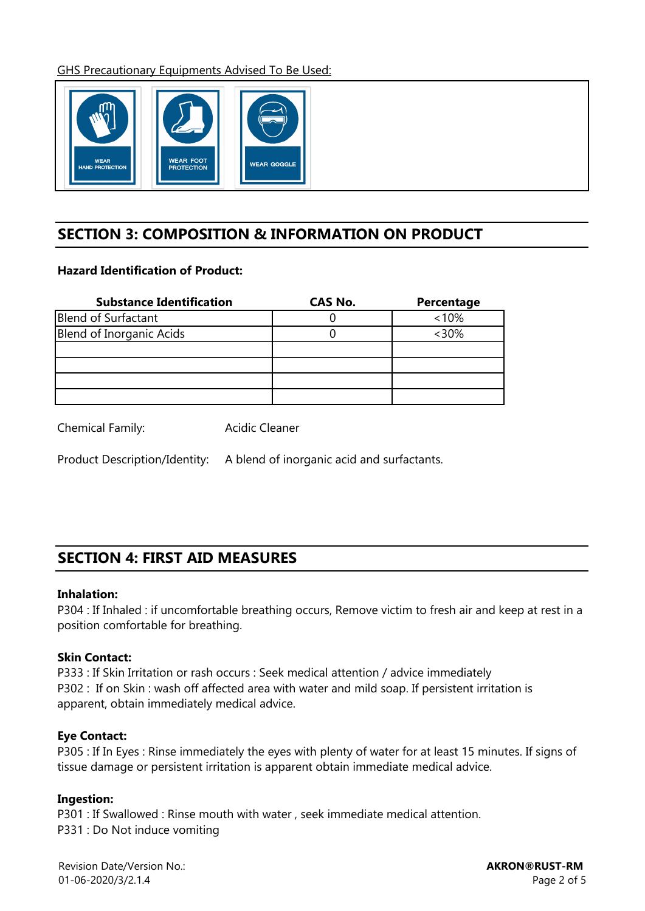GHS Precautionary Equipments Advised To Be Used:



## **SECTION 3: COMPOSITION & INFORMATION ON PRODUCT**

#### **Hazard Identification of Product:**

| <b>Substance Identification</b> | CAS No. | Percentage |
|---------------------------------|---------|------------|
| Blend of Surfactant             |         | $< 10\%$   |
| Blend of Inorganic Acids        |         | $<30\%$    |
|                                 |         |            |
|                                 |         |            |
|                                 |         |            |
|                                 |         |            |

Chemical Family: Acidic Cleaner

Product Description/Identity: A blend of inorganic acid and surfactants.

## **SECTION 4: FIRST AID MEASURES**

#### **Inhalation:**

P304 : If Inhaled : if uncomfortable breathing occurs, Remove victim to fresh air and keep at rest in a position comfortable for breathing.

#### **Skin Contact:**

P333 : If Skin Irritation or rash occurs : Seek medical attention / advice immediately P302 : If on Skin : wash off affected area with water and mild soap. If persistent irritation is apparent, obtain immediately medical advice.

#### **Eye Contact:**

P305 : If In Eyes : Rinse immediately the eyes with plenty of water for at least 15 minutes. If signs of tissue damage or persistent irritation is apparent obtain immediate medical advice.

#### **Ingestion:**

P301 : If Swallowed : Rinse mouth with water , seek immediate medical attention. P331 : Do Not induce vomiting

Revision Date/Version No.: 01-06-2020/3/2.1.4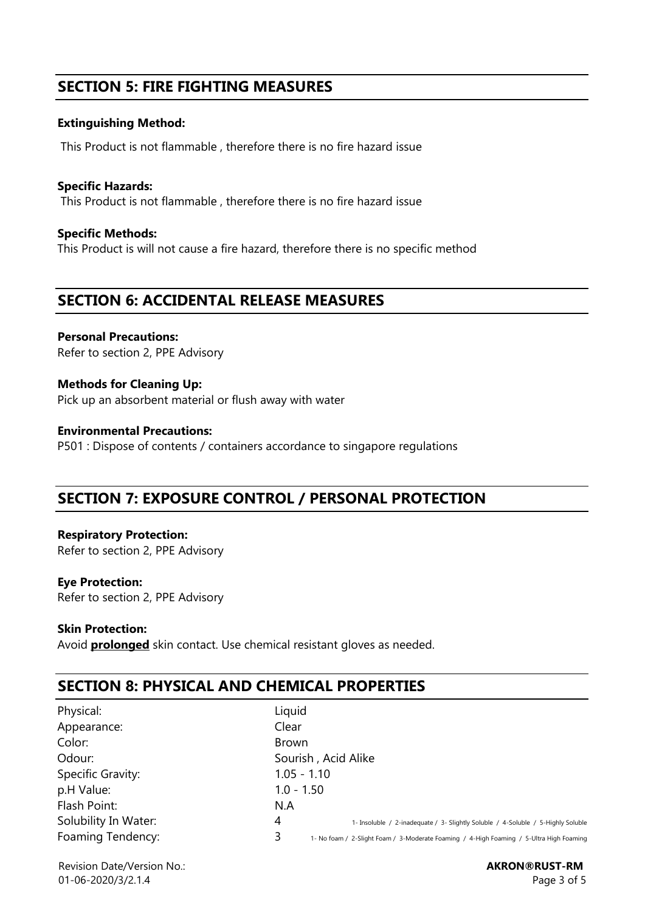## **SECTION 5: FIRE FIGHTING MEASURES**

#### **Extinguishing Method:**

This Product is not flammable , therefore there is no fire hazard issue

**Specific Hazards:**  This Product is not flammable , therefore there is no fire hazard issue

**Specific Methods:** This Product is will not cause a fire hazard, therefore there is no specific method

## **SECTION 6: ACCIDENTAL RELEASE MEASURES**

**Personal Precautions:**  Refer to section 2, PPE Advisory

**Methods for Cleaning Up:** Pick up an absorbent material or flush away with water

**Environmental Precautions:** P501 : Dispose of contents / containers accordance to singapore regulations

## **SECTION 7: EXPOSURE CONTROL / PERSONAL PROTECTION**

**Respiratory Protection:**  Refer to section 2, PPE Advisory

#### **Eye Protection:**

Refer to section 2, PPE Advisory

#### **Skin Protection:**

Avoid **prolonged** skin contact. Use chemical resistant gloves as needed.

## **SECTION 8: PHYSICAL AND CHEMICAL PROPERTIES**

| Physical:            |
|----------------------|
| Appearance:          |
| Color:               |
| Odour:               |
| Specific Gravity:    |
| p.H Value:           |
| Flash Point:         |
| Solubility In Water: |
| Foaming Tendency:    |

4 1- Insoluble / 2-inadequate / 3- Slightly Soluble / 4-Soluble / 5-Highly Soluble For the Notel of the Schodence Foaming / 4-High Foaming / 5-Ultra High Foaming 1 5-Notel and 1-Notel and 1-Notel A Liquid Clear Brown Sourish , Acid Alike 1.05 - 1.10  $1.0 - 1.50$ N.A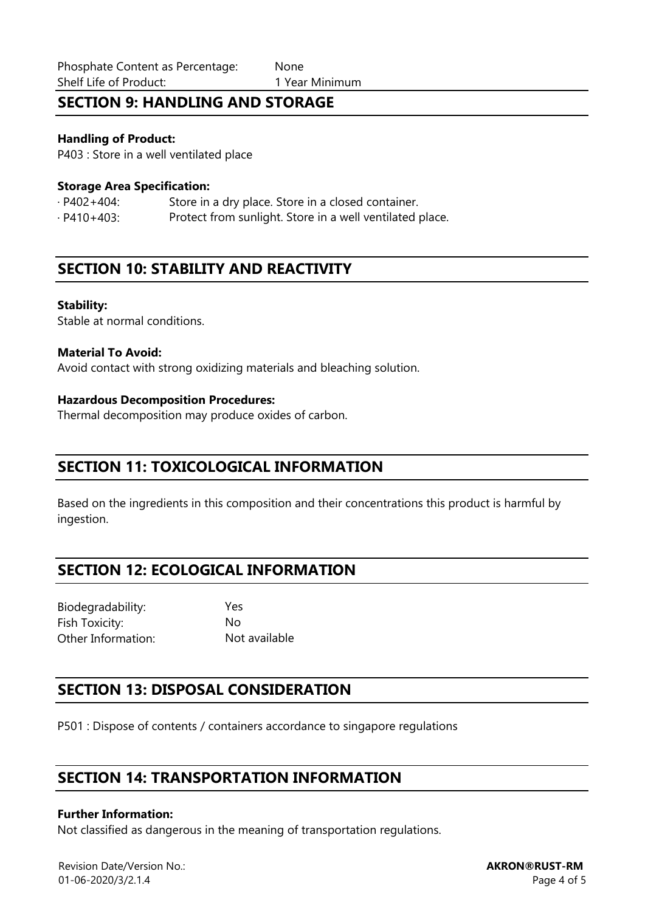## **SECTION 9: HANDLING AND STORAGE**

#### **Handling of Product:**

P403 : Store in a well ventilated place

#### **Storage Area Specification:**

· P402+404: Store in a dry place. Store in a closed container. · P410+403: Protect from sunlight. Store in a well ventilated place.

## **SECTION 10: STABILITY AND REACTIVITY**

#### **Stability:**

Stable at normal conditions.

#### **Material To Avoid:**

Avoid contact with strong oxidizing materials and bleaching solution.

#### **Hazardous Decomposition Procedures:**

Thermal decomposition may produce oxides of carbon.

### **SECTION 11: TOXICOLOGICAL INFORMATION**

Based on the ingredients in this composition and their concentrations this product is harmful by ingestion.

## **SECTION 12: ECOLOGICAL INFORMATION**

Biodegradability: Yes Fish Toxicity: No Other Information: Not available

## **SECTION 13: DISPOSAL CONSIDERATION**

P501 : Dispose of contents / containers accordance to singapore regulations

## **SECTION 14: TRANSPORTATION INFORMATION**

#### **Further Information:**

Not classified as dangerous in the meaning of transportation regulations.